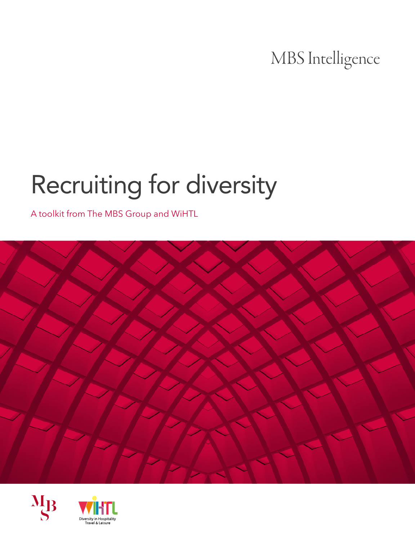### MBS Intelligence

# Recruiting for diversity

A toolkit from The MBS Group and WiHTL





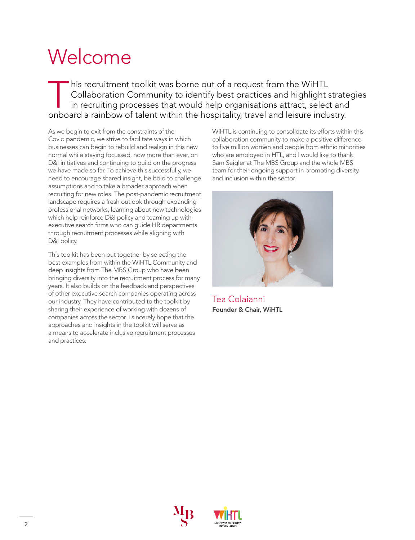## Welcome

This recruitment toolkit was borne out of a request from the WiHTL<br>Collaboration Community to identify best practices and highlight s<br>in recruiting processes that would help organisations attract, selec-<br>orboard a rainbow Collaboration Community to identify best practices and highlight strategies in recruiting processes that would help organisations attract, select and onboard a rainbow of talent within the hospitality, travel and leisure industry.

As we begin to exit from the constraints of the Covid pandemic, we strive to facilitate ways in which businesses can begin to rebuild and realign in this new normal while staying focussed, now more than ever, on D&I initiatives and continuing to build on the progress we have made so far. To achieve this successfully, we need to encourage shared insight, be bold to challenge assumptions and to take a broader approach when recruiting for new roles. The post-pandemic recruitment landscape requires a fresh outlook through expanding professional networks, learning about new technologies which help reinforce D&I policy and teaming up with executive search firms who can guide HR departments through recruitment processes while aligning with D&I policy.

This toolkit has been put together by selecting the best examples from within the WiHTL Community and deep insights from The MBS Group who have been bringing diversity into the recruitment process for many years. It also builds on the feedback and perspectives of other executive search companies operating across our industry. They have contributed to the toolkit by sharing their experience of working with dozens of companies across the sector. I sincerely hope that the approaches and insights in the toolkit will serve as a means to accelerate inclusive recruitment processes and practices.

WiHTL is continuing to consolidate its efforts within this collaboration community to make a positive difference to five million women and people from ethnic minorities who are employed in HTL, and I would like to thank Sam Seigler at The MBS Group and the whole MBS team for their ongoing support in promoting diversity and inclusion within the sector.



Tea Colaianni Founder & Chair, WiHTL



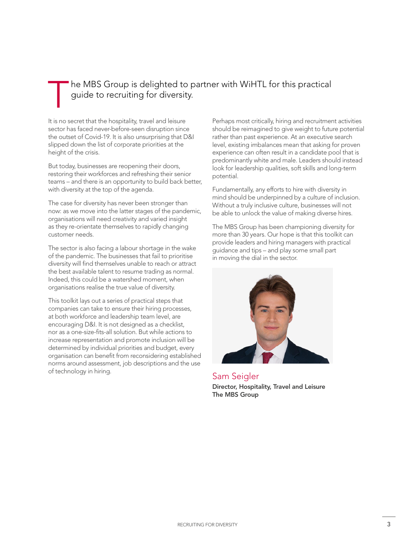#### he MBS Group is delighted to partner with WiHTL for this practical guide to recruiting for diversity.

It is no secret that the hospitality, travel and leisure sector has faced never-before-seen disruption since the outset of Covid-19. It is also unsurprising that D&I slipped down the list of corporate priorities at the height of the crisis.

But today, businesses are reopening their doors, restoring their workforces and refreshing their senior teams – and there is an opportunity to build back better, with diversity at the top of the agenda.

The case for diversity has never been stronger than now: as we move into the latter stages of the pandemic, organisations will need creativity and varied insight as they re-orientate themselves to rapidly changing customer needs.

The sector is also facing a labour shortage in the wake of the pandemic. The businesses that fail to prioritise diversity will find themselves unable to reach or attract the best available talent to resume trading as normal. Indeed, this could be a watershed moment, when organisations realise the true value of diversity.

This toolkit lays out a series of practical steps that companies can take to ensure their hiring processes, at both workforce and leadership team level, are encouraging D&I. It is not designed as a checklist, nor as a one-size-fits-all solution. But while actions to increase representation and promote inclusion will be determined by individual priorities and budget, every organisation can benefit from reconsidering established norms around assessment, job descriptions and the use of technology in hiring.

Perhaps most critically, hiring and recruitment activities should be reimagined to give weight to future potential rather than past experience. At an executive search level, existing imbalances mean that asking for proven experience can often result in a candidate pool that is predominantly white and male. Leaders should instead look for leadership qualities, soft skills and long-term potential.

Fundamentally, any efforts to hire with diversity in mind should be underpinned by a culture of inclusion. Without a truly inclusive culture, businesses will not be able to unlock the value of making diverse hires.

The MBS Group has been championing diversity for more than 30 years. Our hope is that this toolkit can provide leaders and hiring managers with practical guidance and tips – and play some small part in moving the dial in the sector.



Sam Seigler Director, Hospitality, Travel and Leisure The MBS Group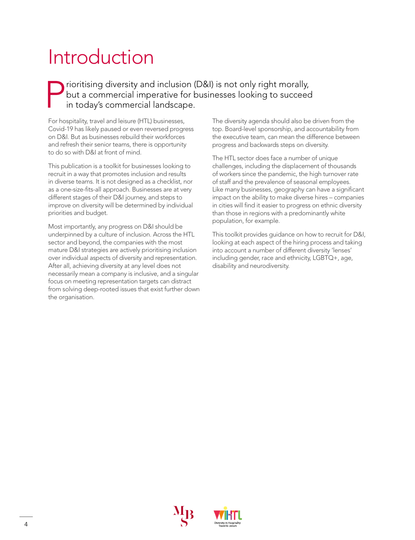## Introduction

#### Prioritising diversity and inclusion (D&I) is not only right morally,<br>but a commercial imperative for businesses looking to succeed<br>in today's commercial landscape. but a commercial imperative for businesses looking to succeed in today's commercial landscape.

For hospitality, travel and leisure (HTL) businesses, Covid-19 has likely paused or even reversed progress on D&I. But as businesses rebuild their workforces and refresh their senior teams, there is opportunity to do so with D&I at front of mind.

This publication is a toolkit for businesses looking to recruit in a way that promotes inclusion and results in diverse teams. It is not designed as a checklist, nor as a one-size-fits-all approach. Businesses are at very different stages of their D&I journey, and steps to improve on diversity will be determined by individual priorities and budget.

Most importantly, any progress on D&I should be underpinned by a culture of inclusion. Across the HTL sector and beyond, the companies with the most mature D&I strategies are actively prioritising inclusion over individual aspects of diversity and representation. After all, achieving diversity at any level does not necessarily mean a company is inclusive, and a singular focus on meeting representation targets can distract from solving deep-rooted issues that exist further down the organisation.

The diversity agenda should also be driven from the top. Board-level sponsorship, and accountability from the executive team, can mean the difference between progress and backwards steps on diversity.

The HTL sector does face a number of unique challenges, including the displacement of thousands of workers since the pandemic, the high turnover rate of staff and the prevalence of seasonal employees. Like many businesses, geography can have a significant impact on the ability to make diverse hires – companies in cities will find it easier to progress on ethnic diversity than those in regions with a predominantly white population, for example.

This toolkit provides guidance on how to recruit for D&I, looking at each aspect of the hiring process and taking into account a number of different diversity 'lenses' including gender, race and ethnicity, LGBTQ+, age, disability and neurodiversity.



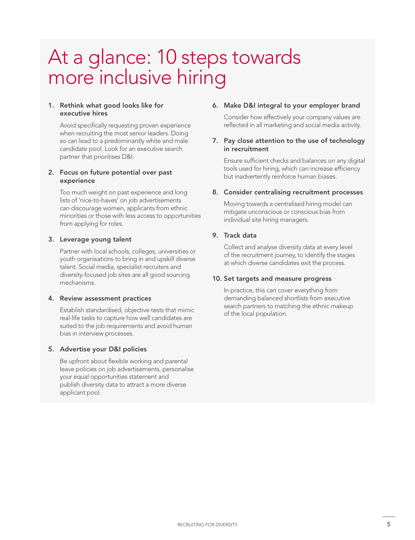### At a glance: 10 steps towards more inclusive hiring

#### 1. Rethink what good looks like for executive hires

Avoid specifically requesting proven experience when recruiting the most senior leaders. Doing so can lead to a predominantly white and male candidate pool. Look for an executive search partner that prioritises D&I.

#### 2. Focus on future potential over past experience

Too much weight on past experience and long lists of 'nice-to-haves' on job advertisements can discourage women, applicants from ethnic minorities or those with less access to opportunities from applying for roles.

#### 3. Leverage young talent

Partner with local schools, colleges, universities or youth organisations to bring in and upskill diverse talent. Social media, specialist recruiters and diversity-focused job sites are all good sourcing mechanisms.

#### 4. Review assessment practices

Establish standardised, objective tests that mimic real-life tasks to capture how well candidates are suited to the job requirements and avoid human bias in interview processes.

#### 5. Advertise your D&I policies

Be upfront about flexible working and parental leave policies on job advertisements, personalise your equal opportunities statement and publish diversity data to attract a more diverse applicant pool.

#### 6. Make D&I integral to your employer brand

Consider how effectively your company values are reflected in all marketing and social media activity.

#### 7. Pay close attention to the use of technology in recruitment

Ensure sufficient checks and balances on any digital tools used for hiring, which can increase efficiency but inadvertently reinforce human biases.

#### 8. Consider centralising recruitment processes

Moving towards a centralised hiring model can mitigate unconscious or conscious bias from individual site hiring managers.

#### 9. Track data

Collect and analyse diversity data at every level of the recruitment journey, to identify the stages at which diverse candidates exit the process.

#### 10. Set targets and measure progress

In practice, this can cover everything from demanding balanced shortlists from executive search partners to matching the ethnic makeup of the local population.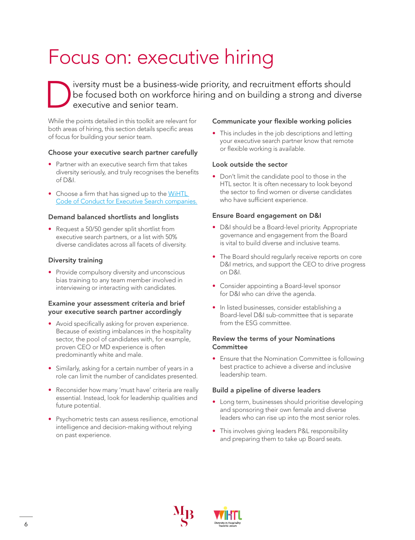## Focus on: executive hiring

Diversity must be a business-wide priority, and recruitment efforts should<br>be focused both on workforce hiring and on building a strong and diver<br>executive and senior team. be focused both on workforce hiring and on building a strong and diverse executive and senior team.

While the points detailed in this toolkit are relevant for both areas of hiring, this section details specific areas of focus for building your senior team.

#### Choose your executive search partner carefully

- Partner with an executive search firm that takes diversity seriously, and truly recognises the benefits of D&I.
- Choose a firm that has signed up to the WiHTL [Code of Conduct for Executive Search companies](https://www.wihtl.com/collaboration).

#### Demand balanced shortlists and longlists

• Request a 50/50 gender split shortlist from executive search partners, or a list with 50% diverse candidates across all facets of diversity.

#### Diversity training

• Provide compulsory diversity and unconscious bias training to any team member involved in interviewing or interacting with candidates.

#### Examine your assessment criteria and brief your executive search partner accordingly

- Avoid specifically asking for proven experience. Because of existing imbalances in the hospitality sector, the pool of candidates with, for example, proven CEO or MD experience is often predominantly white and male.
- Similarly, asking for a certain number of years in a role can limit the number of candidates presented.
- Reconsider how many 'must have' criteria are really essential. Instead, look for leadership qualities and future potential.
- Psychometric tests can assess resilience, emotional intelligence and decision-making without relying on past experience.

#### Communicate your flexible working policies

• This includes in the job descriptions and letting your executive search partner know that remote or flexible working is available.

#### Look outside the sector

• Don't limit the candidate pool to those in the HTL sector. It is often necessary to look beyond the sector to find women or diverse candidates who have sufficient experience.

#### Ensure Board engagement on D&I

- D&I should be a Board-level priority. Appropriate governance and engagement from the Board is vital to build diverse and inclusive teams.
- The Board should regularly receive reports on core D&I metrics, and support the CEO to drive progress on D&I.
- Consider appointing a Board-level sponsor for D&I who can drive the agenda.
- In listed businesses, consider establishing a Board-level D&I sub-committee that is separate from the ESG committee.

#### Review the terms of your Nominations **Committee**

• Ensure that the Nomination Committee is following best practice to achieve a diverse and inclusive leadership team.

#### Build a pipeline of diverse leaders

- Long term, businesses should prioritise developing and sponsoring their own female and diverse leaders who can rise up into the most senior roles.
- This involves giving leaders P&L responsibility and preparing them to take up Board seats.



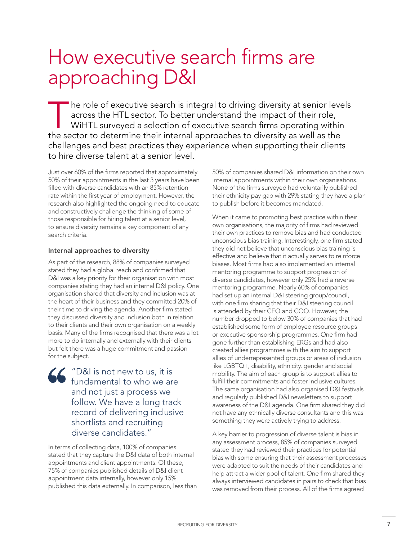### How executive search firms are approaching D&I

The role of executive search is integral to driving diversity at senior levels<br>across the HTL sector. To better understand the impact of their role,<br>WiHTL surveyed a selection of executive search firms operating within<br>the across the HTL sector. To better understand the impact of their role, WiHTL surveyed a selection of executive search firms operating within the sector to determine their internal approaches to diversity as well as the challenges and best practices they experience when supporting their clients to hire diverse talent at a senior level.

Just over 60% of the firms reported that approximately 50% of their appointments in the last 3 years have been filled with diverse candidates with an 85% retention rate within the first year of employment. However, the research also highlighted the ongoing need to educate and constructively challenge the thinking of some of those responsible for hiring talent at a senior level, to ensure diversity remains a key component of any search criteria.

#### Internal approaches to diversity

As part of the research, 88% of companies surveyed stated they had a global reach and confirmed that D&I was a key priority for their organisation with most companies stating they had an internal D&I policy. One organisation shared that diversity and inclusion was at the heart of their business and they committed 20% of their time to driving the agenda. Another firm stated they discussed diversity and inclusion both in relation to their clients and their own organisation on a weekly basis. Many of the firms recognised that there was a lot more to do internally and externally with their clients but felt there was a huge commitment and passion for the subject.

> "D&I is not new to us, it is fundamental to who we are and not just a process we follow. We have a long track record of delivering inclusive shortlists and recruiting diverse candidates."

In terms of collecting data, 100% of companies stated that they capture the D&I data of both internal appointments and client appointments. Of these, 75% of companies published details of D&I client appointment data internally, however only 15% published this data externally. In comparison, less than

50% of companies shared D&I information on their own internal appointments within their own organisations. None of the firms surveyed had voluntarily published their ethnicity pay gap with 29% stating they have a plan to publish before it becomes mandated.

When it came to promoting best practice within their own organisations, the majority of firms had reviewed their own practices to remove bias and had conducted unconscious bias training. Interestingly, one firm stated they did not believe that unconscious bias training is effective and believe that it actually serves to reinforce biases. Most firms had also implemented an internal mentoring programme to support progression of diverse candidates, however only 25% had a reverse mentoring programme. Nearly 60% of companies had set up an internal D&I steering group/council, with one firm sharing that their D&I steering council is attended by their CEO and COO. However, the number dropped to below 30% of companies that had established some form of employee resource groups or executive sponsorship programmes. One firm had gone further than establishing ERGs and had also created allies programmes with the aim to support allies of underrepresented groups or areas of inclusion like LGBTQ+, disability, ethnicity, gender and social mobility. The aim of each group is to support allies to fulfill their commitments and foster inclusive cultures. The same organisation had also organised D&I festivals and regularly published D&I newsletters to support awareness of the D&I agenda. One firm shared they did not have any ethnically diverse consultants and this was something they were actively trying to address.

A key barrier to progression of diverse talent is bias in any assessment process, 85% of companies surveyed stated they had reviewed their practices for potential bias with some ensuring that their assessment processes were adapted to suit the needs of their candidates and help attract a wider pool of talent. One firm shared they always interviewed candidates in pairs to check that bias was removed from their process. All of the firms agreed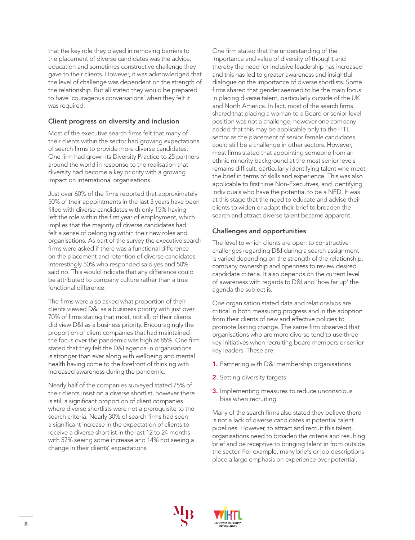that the key role they played in removing barriers to the placement of diverse candidates was the advice, education and sometimes constructive challenge they gave to their clients. However, it was acknowledged that the level of challenge was dependent on the strength of the relationship. But all stated they would be prepared to have 'courageous conversations' when they felt it was required.

#### Client progress on diversity and inclusion

Most of the executive search firms felt that many of their clients within the sector had growing expectations of search firms to provide more diverse candidates. One firm had grown its Diversity Practice to 25 partners around the world in response to the realisation that diversity had become a key priority with a growing impact on international organisations.

Just over 60% of the firms reported that approximately 50% of their appointments in the last 3 years have been filled with diverse candidates with only 15% having left the role within the first year of employment, which implies that the majority of diverse candidates had felt a sense of belonging within their new roles and organisations. As part of the survey the executive search firms were asked if there was a functional difference on the placement and retention of diverse candidates. Interestingly 50% who responded said yes and 50% said no. This would indicate that any difference could be attributed to company culture rather than a true functional difference.

The firms were also asked what proportion of their clients viewed D&I as a business priority with just over 70% of firms stating that most, not all, of their clients did view D&I as a business priority. Encouragingly the proportion of client companies that had maintained the focus over the pandemic was high at 85%. One firm stated that they felt the D&I agenda in organisations is stronger than ever along with wellbeing and mental health having come to the forefront of thinking with increased awareness during the pandemic.

Nearly half of the companies surveyed stated 75% of their clients insist on a diverse shortlist, however there is still a significant proportion of client companies where diverse shortlists were not a prerequisite to the search criteria. Nearly 30% of search firms had seen a significant increase in the expectation of clients to receive a diverse shortlist in the last 12 to 24 months with 57% seeing some increase and 14% not seeing a change in their clients' expectations.

One firm stated that the understanding of the importance and value of diversity of thought and thereby the need for inclusive leadership has increased and this has led to greater awareness and insightful dialogue on the importance of diverse shortlists. Some firms shared that gender seemed to be the main focus in placing diverse talent, particularly outside of the UK and North America. In fact, most of the search firms shared that placing a woman to a Board or senior level position was not a challenge, however one company added that this may be applicable only to the HTL sector as the placement of senior female candidates could still be a challenge in other sectors. However, most firms stated that appointing someone from an ethnic minority background at the most senior levels remains difficult, particularly identifying talent who meet the brief in terms of skills and experience. This was also applicable to first time Non-Executives, and identifying individuals who have the potential to be a NED. It was at this stage that the need to educate and advise their clients to widen or adapt their brief to broaden the search and attract diverse talent became apparent.

#### Challenges and opportunities

The level to which clients are open to constructive challenges regarding D&I during a search assignment is varied depending on the strength of the relationship, company ownership and openness to review desired candidate criteria. It also depends on the current level of awareness with regards to D&I and 'how far up' the agenda the subject is.

One organisation stated data and relationships are critical in both measuring progress and in the adoption from their clients of new and effective policies to promote lasting change. The same firm observed that organisations who are more diverse tend to use three key initiatives when recruiting board members or senior key leaders. These are:

- 1. Partnering with D&I membership organisations
- 2. Setting diversity targets
- 3. Implementing measures to reduce unconscious bias when recruiting.

Many of the search firms also stated they believe there is not a lack of diverse candidates in potential talent pipelines. However, to attract and recruit this talent, organisations need to broaden the criteria and resulting brief and be receptive to bringing talent in from outside the sector. For example, many briefs or job descriptions place a large emphasis on experience over potential.



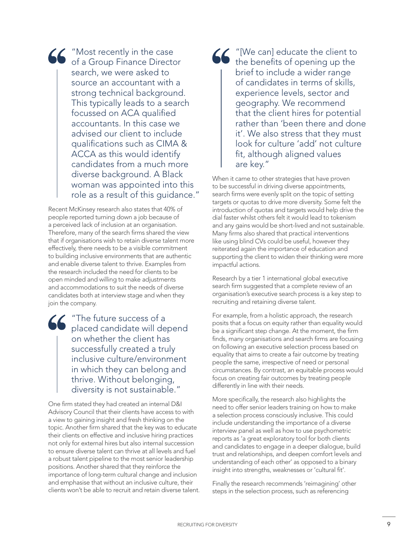"Most recently in the case of a Group Finance Director search, we were asked to source an accountant with a strong technical background. This typically leads to a search focussed on ACA qualified accountants. In this case we advised our client to include qualifications such as CIMA & ACCA as this would identify candidates from a much more diverse background. A Black woman was appointed into this role as a result of this guidance."

Recent McKinsey research also states that 40% of people reported turning down a job because of a perceived lack of inclusion at an organisation. Therefore, many of the search firms shared the view that if organisations wish to retain diverse talent more effectively, there needs to be a visible commitment to building inclusive environments that are authentic and enable diverse talent to thrive. Examples from the research included the need for clients to be open minded and willing to make adjustments and accommodations to suit the needs of diverse candidates both at interview stage and when they join the company.

"The future success of a placed candidate will depend on whether the client has successfully created a truly inclusive culture/environment in which they can belong and thrive. Without belonging, diversity is not sustainable."

One firm stated they had created an internal D&I Advisory Council that their clients have access to with a view to gaining insight and fresh thinking on the topic. Another firm shared that the key was to educate their clients on effective and inclusive hiring practices not only for external hires but also internal succession to ensure diverse talent can thrive at all levels and fuel a robust talent pipeline to the most senior leadership positions. Another shared that they reinforce the importance of long-term cultural change and inclusion and emphasise that without an inclusive culture, their clients won't be able to recruit and retain diverse talent.

"[We can] educate the client to the benefits of opening up the brief to include a wider range of candidates in terms of skills, experience levels, sector and geography. We recommend that the client hires for potential rather than 'been there and done it'. We also stress that they must look for culture 'add' not culture fit, although aligned values are key."

When it came to other strategies that have proven to be successful in driving diverse appointments, search firms were evenly split on the topic of setting targets or quotas to drive more diversity. Some felt the introduction of quotas and targets would help drive the dial faster whilst others felt it would lead to tokenism and any gains would be short-lived and not sustainable. Many firms also shared that practical interventions like using blind CVs could be useful, however they reiterated again the importance of education and supporting the client to widen their thinking were more impactful actions.

Research by a tier 1 international global executive search firm suggested that a complete review of an organisation's executive search process is a key step to recruiting and retaining diverse talent.

For example, from a holistic approach, the research posits that a focus on equity rather than equality would be a significant step change. At the moment, the firm finds, many organisations and search firms are focusing on following an executive selection process based on equality that aims to create a fair outcome by treating people the same, irrespective of need or personal circumstances. By contrast, an equitable process would focus on creating fair outcomes by treating people differently in line with their needs.

More specifically, the research also highlights the need to offer senior leaders training on how to make a selection process consciously inclusive. This could include understanding the importance of a diverse interview panel as well as how to use psychometric reports as 'a great exploratory tool for both clients and candidates to engage in a deeper dialogue, build trust and relationships, and deepen comfort levels and understanding of each other' as opposed to a binary insight into strengths, weaknesses or 'cultural fit'.

Finally the research recommends 'reimagining' other steps in the selection process, such as referencing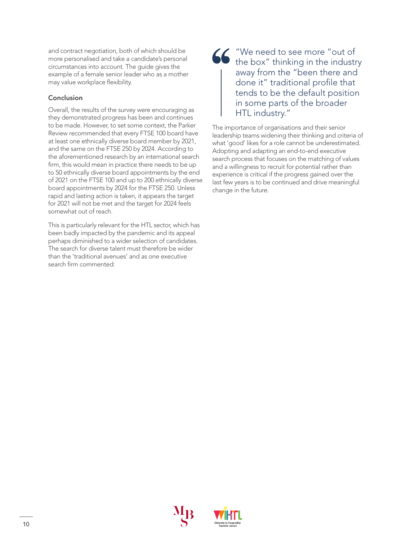and contract negotiation, both of which should be more personalised and take a candidate's personal circumstances into account. The guide gives the example of a female senior leader who as a mother may value workplace flexibility.

#### Conclusion

Overall, the results of the survey were encouraging as they demonstrated progress has been and continues to be made. However, to set some context, the Parker Review recommended that every FTSE 100 board have at least one ethnically diverse board member by 2021, and the same on the FTSE 250 by 2024. According to the aforementioned research by an international search firm, this would mean in practice there needs to be up to 50 ethnically diverse board appointments by the end of 2021 on the FTSE 100 and up to 200 ethnically diverse board appointments by 2024 for the FTSE 250. Unless rapid and lasting action is taken, it appears the target for 2021 will not be met and the target for 2024 feels somewhat out of reach.

This is particularly relevant for the HTL sector, which has been badly impacted by the pandemic and its appeal perhaps diminished to a wider selection of candidates. The search for diverse talent must therefore be wider than the 'traditional avenues' and as one executive search firm commented:

#### "We need to see more "out of the box" thinking in the industry away from the "been there and done it" traditional profile that tends to be the default position in some parts of the broader HTL industry."

The importance of organisations and their senior leadership teams widening their thinking and criteria of what 'good' likes for a role cannot be underestimated. Adopting and adapting an end-to-end executive search process that focuses on the matching of values and a willingness to recruit for potential rather than experience is critical if the progress gained over the last few years is to be continued and drive meaningful change in the future.



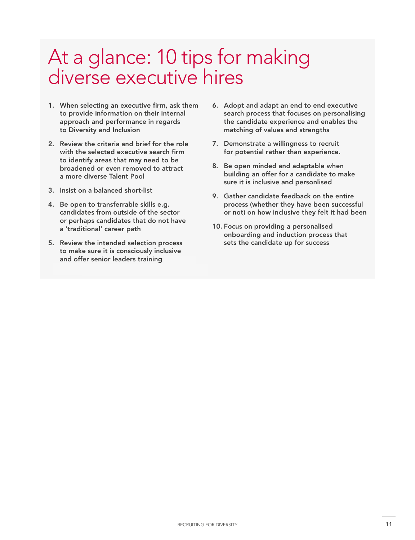### At a glance: 10 tips for making diverse executive hires

- 1. When selecting an executive firm, ask them to provide information on their internal approach and performance in regards to Diversity and Inclusion
- 2. Review the criteria and brief for the role with the selected executive search firm to identify areas that may need to be broadened or even removed to attract a more diverse Talent Pool
- 3. Insist on a balanced short-list
- 4. Be open to transferrable skills e.g. candidates from outside of the sector or perhaps candidates that do not have a 'traditional' career path
- 5. Review the intended selection process to make sure it is consciously inclusive and offer senior leaders training
- 6. Adopt and adapt an end to end executive search process that focuses on personalising the candidate experience and enables the matching of values and strengths
- 7. Demonstrate a willingness to recruit for potential rather than experience.
- 8. Be open minded and adaptable when building an offer for a candidate to make sure it is inclusive and personlised
- 9. Gather candidate feedback on the entire process (whether they have been successful or not) on how inclusive they felt it had been
- 10. Focus on providing a personalised onboarding and induction process that sets the candidate up for success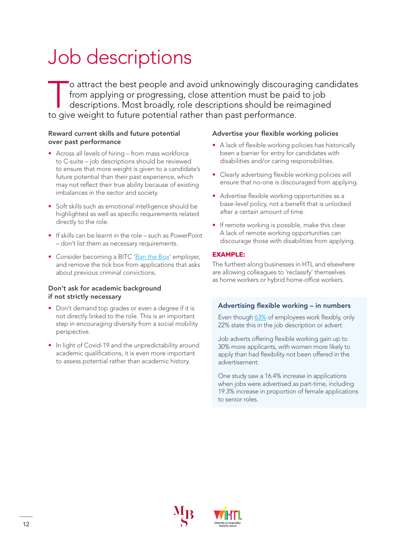## Job descriptions

To attract the best people and avoid unknowingly discouraging candidates<br>from applying or progressing, close attention must be paid to job<br>descriptions. Most broadly, role descriptions should be reimagined<br>to give weight t from applying or progressing, close attention must be paid to job descriptions. Most broadly, role descriptions should be reimagined to give weight to future potential rather than past performance.

#### Reward current skills and future potential over past performance

- Across all levels of hiring from mass workforce to C-suite – job descriptions should be reviewed to ensure that more weight is given to a candidate's future potential than their past experience, which may not reflect their true ability because of existing imbalances in the sector and society.
- Soft skills such as emotional intelligence should be highlighted as well as specific requirements related directly to the role.
- If skills can be learnt in the role such as PowerPoint – don't list them as necessary requirements.
- Consider becoming a BITC '[Ban the Box'](https://www.bitc.org.uk/wp-content/uploads/2021/02/bitc-report-ban-the-box-one-million-jobs-later-feb21.pdf ) employer, and remove the tick box from applications that asks about previous criminal convictions.

#### Don't ask for academic background if not strictly necessary

- Don't demand top grades or even a degree if it is not directly linked to the role. This is an important step in encouraging diversity from a social mobility perspective.
- In light of Covid-19 and the unpredictability around academic qualifications, it is even more important to assess potential rather than academic history.

#### Advertise your flexible working policies

- A lack of flexible working policies has historically been a barrier for entry for candidates with disabilities and/or caring responsibilities.
- Clearly advertising flexible working policies will ensure that no-one is discouraged from applying.
- Advertise flexible working opportunities as a base-level policy, not a benefit that is unlocked after a certain amount of time.
- If remote working is possible, make this clear. A lack of remote working opportunities can discourage those with disabilities from applying.

#### **EXAMPLE:**

The furthest-along businesses in HTL and elsewhere are allowing colleagues to 'reclassify' themselves as home workers or hybrid home-office workers.

#### Advertising flexible working – in numbers

Even though [63%](https://assets.publishing.service.gov.uk/government/uploads/system/uploads/attachment_data/file/843571/Encouraging_employers_to_advertise_jobs_as_flexible.pdf) of employees work flexibly, only 22% state this in the job description or advert.

Job adverts offering flexible working gain up to 30% more applicants, with women more likely to apply than had flexibility not been offered in the advertisement.

One study saw a 16.4% increase in applications when jobs were advertised as part-time, including 19.3% increase in proportion of female applications to senior roles.



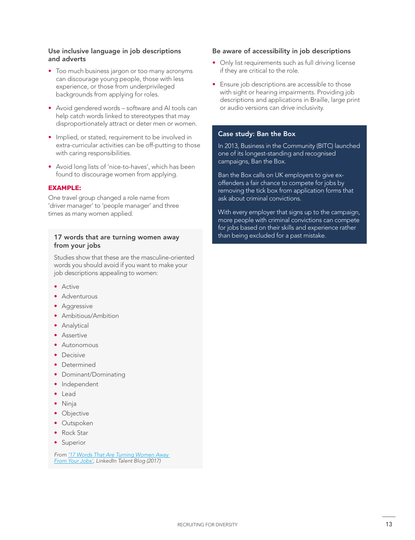#### Use inclusive language in job descriptions and adverts

- Too much business jargon or too many acronyms can discourage young people, those with less experience, or those from underprivileged backgrounds from applying for roles.
- Avoid gendered words software and AI tools can help catch words linked to stereotypes that may disproportionately attract or deter men or women.
- Implied, or stated, requirement to be involved in extra-curricular activities can be off-putting to those with caring responsibilities.
- Avoid long lists of 'nice-to-haves', which has been found to discourage women from applying.

#### **EXAMPLE:**

One travel group changed a role name from 'driver manager' to 'people manager' and three times as many women applied.

#### 17 words that are turning women away from your jobs

Studies show that these are the masculine-oriented words you should avoid if you want to make your job descriptions appealing to women:

- Active
- Adventurous
- Aggressive
- Ambitious/Ambition
- Analytical
- Assertive
- Autonomous
- Decisive
- Determined
- Dominant/Dominating
- Independent
- Lead
- Ninja
- Objective
- Outspoken
- Rock Star
- Superior

*From ['17 Words That Are Turning Women Away](https://www.linkedin.com/business/talent/blog/talent-acquisition/words-that-turn-women-away-from-job-descriptions)  From Your [Jobs',](https://www.linkedin.com/business/talent/blog/talent-acquisition/words-that-turn-women-away-from-job-descriptions) LinkedIn Talent Blog (2017)*

#### Be aware of accessibility in job descriptions

- Only list requirements such as full driving license if they are critical to the role.
- Ensure job descriptions are accessible to those with sight or hearing impairments. Providing job descriptions and applications in Braille, large print or audio versions can drive inclusivity.

#### Case study: Ban the Box

In 2013, Business in the Community (BITC) launched one of its longest-standing and recognised campaigns, Ban the Box.

Ban the Box calls on UK employers to give exoffenders a fair chance to compete for jobs by removing the tick box from application forms that ask about criminal convictions.

With every employer that signs up to the campaign, more people with criminal convictions can compete for jobs based on their skills and experience rather than being excluded for a past mistake.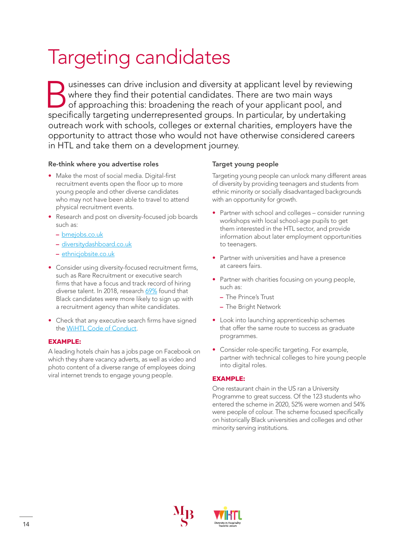## Targeting candidates

Usinesses can drive inclusion and diversity at applicant level by reviewing<br>where they find their potential candidates. There are two main ways<br>of approaching this: broadening the reach of your applicant pool, and<br>positica where they find their potential candidates. There are two main ways of approaching this: broadening the reach of your applicant pool, and specifically targeting underrepresented groups. In particular, by undertaking outreach work with schools, colleges or external charities, employers have the opportunity to attract those who would not have otherwise considered careers in HTL and take them on a development journey.

#### Re-think where you advertise roles

- Make the most of social media. Digital-first recruitment events open the floor up to more young people and other diverse candidates who may not have been able to travel to attend physical recruitment events.
- Research and post on diversity-focused job boards such as:
	- [bmejobs.co.uk](https://bmejobs.co.uk/)
	- [diversitydashboard.co.uk](https://www.diversitydashboard.co.uk/)
	- [ethnicjobsite.co.uk](https://www.ethnicjobsite.co.uk/)
- Consider using diversity-focused recruitment firms, such as Rare Recruitment or executive search firms that have a focus and track record of hiring diverse talent. In 2018, research [69%](https://documentcloud.adobe.com/link/review?uri=urn:aaid:scds:US:c1f26c9e-4b8c-4304-b189-6f2fed50bec4) found that Black candidates were more likely to sign up with a recruitment agency than white candidates.
- Check that any executive search firms have signed the [WiHTL Code of Conduct](https://www.wihtl.com/collaboration).

#### **EXAMPLE:**

A leading hotels chain has a jobs page on Facebook on which they share vacancy adverts, as well as video and photo content of a diverse range of employees doing viral internet trends to engage young people.

#### Target young people

Targeting young people can unlock many different areas of diversity by providing teenagers and students from ethnic minority or socially disadvantaged backgrounds with an opportunity for growth.

- Partner with school and colleges consider running workshops with local school-age pupils to get them interested in the HTL sector, and provide information about later employment opportunities to teenagers.
- Partner with universities and have a presence at careers fairs.
- Partner with charities focusing on young people, such as:
	- The Prince's Trust
	- The Bright Network
- Look into launching apprenticeship schemes that offer the same route to success as graduate programmes.
- Consider role-specific targeting. For example, partner with technical colleges to hire young people into digital roles.

#### **EXAMPLE:**

One restaurant chain in the US ran a University Programme to great success. Of the 123 students who entered the scheme in 2020, 52% were women and 54% were people of colour. The scheme focused specifically on historically Black universities and colleges and other minority serving institutions.



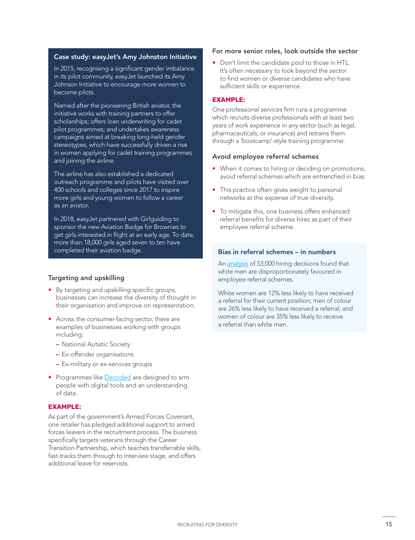#### Case study: easyJet's Amy Johnston Initiative

In 2015, recognising a significant gender imbalance in its pilot community, easyJet launched its Amy Johnson Initiative to encourage more women to become pilots.

Named after the pioneering British aviator, the initiative works with training partners to offer scholarships; offers loan underwriting for cadet pilot programmes; and undertakes awareness campaigns aimed at breaking long-held gender stereotypes, which have successfully driven a rise in women applying for cadet training programmes and joining the airline.

The airline has also established a dedicated outreach programme and pilots have visited over 400 schools and colleges since 2017 to inspire more girls and young women to follow a career as an aviator.

In 2018, easyJet partnered with Girlguiding to sponsor the new Aviation Badge for Brownies to get girls interested in flight at an early age. To date, more than 18,000 girls aged seven to ten have completed their aviation badge. Bias in referral schemes – in numbers

#### Targeting and upskilling

- By targeting and upskilling specific groups, businesses can increase the diversity of thought in their organisation and improve on representation.
- Across the consumer-facing sector, there are examples of businesses working with groups including:
	- National Autistic Society
	- Ex-offender organisations
	- Ex-military or ex-services groups
- Programmes like [Decoded](https://decoded.com/) are designed to arm people with digital tools and an understanding of data.

#### **EXAMPLE:**

As part of the government's Armed Forces Covenant, one retailer has pledged additional support to armed forces leavers in the recruitment process. The business specifically targets veterans through the Career Transition Partnership, which teaches transferrable skills, fast-tracks them through to interview stage, and offers additional leave for reservists.

#### For more senior roles, look outside the sector

• Don't limit the candidate pool to those in HTL. It's often necessary to look beyond the sector to find women or diverse candidates who have sufficient skills or experience.

#### **EXAMPLE:**

One professional services firm runs a programme which recruits diverse professionals with at least two years of work experience in any sector (such as legal, pharmaceuticals, or insurance) and retrains them through a 'bootcamp'-style training programme.

#### Avoid employee referral schemes

- When it comes to hiring or deciding on promotions, avoid referral schemes which are entrenched in bias.
- This practice often gives weight to personal networks at the expense of true diversity.
- To mitigate this, one business offers enhanced referral benefits for diverse hires as part of their employee referral scheme.

An [analysis](https://hbr.org/2018/03/how-to-use-employee-referrals-without-giving-up-workplace-diversity) of 53,000 hiring decisions found that white men are disproportionately favoured in employee referral schemes.

White women are 12% less likely to have received a referral for their current position; men of colour are 26% less likely to have received a referral; and women of colour are 35% less likely to receive a referral than white men.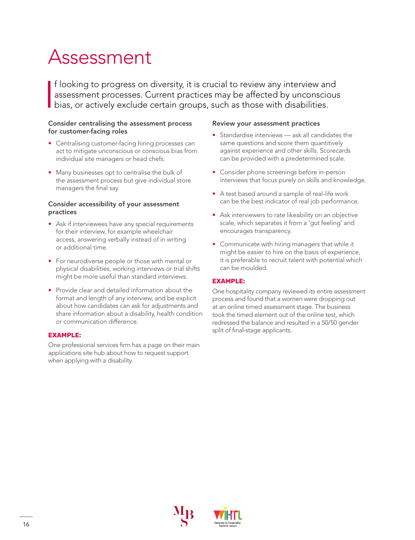## Assessment

I f looking to progress on diversity, it is crucial to review any interview and assessment processes. Current practices may be affected by unconscious bias, or actively exclude certain groups, such as those with disabilities.

#### Consider centralising the assessment process for customer-facing roles

- Centralising customer-facing hiring processes can act to mitigate unconscious or conscious bias from individual site managers or head chefs.
- Many businesses opt to centralise the bulk of the assessment process but give individual store managers the final say.

#### Consider accessibility of your assessment practices

- Ask if interviewees have any special requirements for their interview, for example wheelchair access, answering verbally instead of in writing or additional time.
- For neurodiverse people or those with mental or physical disabilities, working interviews or trial shifts might be more useful than standard interviews.
- Provide clear and detailed information about the format and length of any interview, and be explicit about how candidates can ask for adjustments and share information about a disability, health condition or communication difference.

#### **EXAMPLE:**

One professional services firm has a page on their main applications site hub about how to request support when applying with a disability.

#### Review your assessment practices

- Standardise interviews ask all candidates the same questions and score them quantitively against experience and other skills. Scorecards can be provided with a predetermined scale.
- Consider phone screenings before in-person interviews that focus purely on skills and knowledge.
- A test based around a sample of real-life work can be the best indicator of real job performance.
- Ask interviewers to rate likeability on an objective scale, which separates it from a 'gut feeling' and encourages transparency.
- Communicate with hiring managers that while it might be easier to hire on the basis of experience, it is preferable to recruit talent with potential which can be moulded.

#### **EXAMPLE:**

One hospitality company reviewed its entire assessment process and found that a women were dropping out at an online timed assessment stage. The business took the timed element out of the online test, which redressed the balance and resulted in a 50/50 gender split of final-stage applicants.



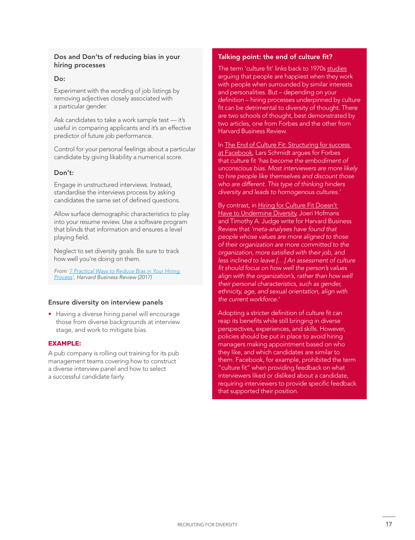#### Dos and Don'ts of reducing bias in your hiring processes

#### Do:

Experiment with the wording of job listings by removing adjectives closely associated with a particular gender.

Ask candidates to take a work sample test - it's useful in comparing applicants and it's an effective predictor of future job performance.

Control for your personal feelings about a particular candidate by giving likability a numerical score.

#### Don't:

Engage in unstructured interviews. Instead, standardise the interviews process by asking candidates the same set of defined questions.

Allow surface demographic characteristics to play into your resume review. Use a software program that blinds that information and ensures a level playing field.

Neglect to set diversity goals. Be sure to track how well you're doing on them.

*From ['7 Practical Ways to Reduce Bias in Your Hiring](https://hbr.org/2017/06/7-practical-ways-to-reduce-bias-in-your-hiring-process)  [Process](https://hbr.org/2017/06/7-practical-ways-to-reduce-bias-in-your-hiring-process)', Harvard Business Review (2017)* 

#### Ensure diversity on interview panels

• Having a diverse hiring panel will encourage those from diverse backgrounds at interview stage, and work to mitigate bias.

#### **EXAMPLE:**

A pub company is rolling out training for its pub management teams covering how to construct a diverse interview panel and how to select a successful candidate fairly.

#### Talking point: the end of culture fit?

The term 'culture fit' links back to 1970s [studies](https://www.forbes.com/sites/shanesnow/2020/06/30/culture-add-the-antidote-to-culture-fit/?sh=1b4ed6681a79) arguing that people are happiest when they work with people when surrounded by similar interests and personalities. But – depending on your definition – hiring processes underpinned by culture fit can be detrimental to diversity of thought. There are two schools of thought, best demonstrated by two articles, one from Forbes and the other from Harvard Business Review.

In The End of Culture Fit: Structuring for success [at Facebook,](https://www.forbes.com/sites/shanesnow/2020/06/30/culture-add-the-antidote-to-culture-fit/?sh=1b4ed6681a79) Lars Schmidt argues for Forbes that culture fit *'has become the embodiment of unconscious bias. Most interviewers are more likely to hire people like themselves and discount those who are different. This type of thinking hinders diversity and leads to homogenous cultures.'*

By contrast, in Hiring for Culture Fit Doesn't [Have to Undermine Diversity](https://hbr.org/2019/09/hiring-for-culture-fit-doesnt-have-to-undermine-diversity), Joeri Hofmans and Timothy A. Judge write for Harvard Business Review that *'meta‑analyses have found that people whose values are more aligned to those of their organization are more committed to the organization, more satisfied with their job, and less inclined to leave […] An assessment of culture fit should focus on how well the person's values align with the organization's, rather than how well their personal characteristics, such as gender, ethnicity, age, and sexual orientation, align with the current workforce.'*

Adopting a stricter definition of culture fit can reap its benefits while still bringing in diverse perspectives, experiences, and skills. However, policies should be put in place to avoid hiring managers making appointment based on who they like, and which candidates are similar to them. Facebook, for example, prohibited the term "culture fit" when providing feedback on what interviewers liked or disliked about a candidate, requiring interviewers to provide specific feedback that supported their position.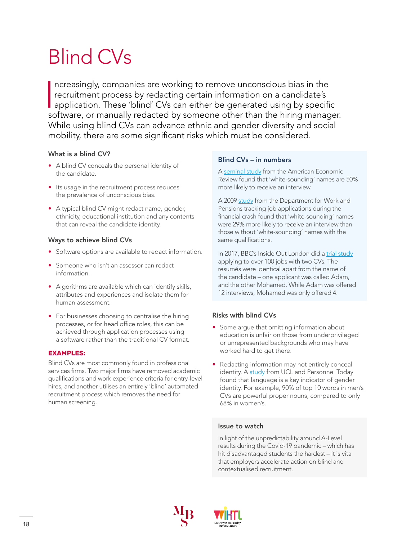## Blind CVs

 $\overline{\phantom{a}}$ ncreasingly, companies are working to remove unconscious bias in the recruitment process by redacting certain information on a candidate's application. These 'blind' CVs can either be generated using by specific software, or manually redacted by someone other than the hiring manager. While using blind CVs can advance ethnic and gender diversity and social mobility, there are some significant risks which must be considered.

#### What is a blind CV?

- A blind CV conceals the personal identity of the candidate.
- Its usage in the recruitment process reduces the prevalence of unconscious bias.
- A typical blind CV might redact name, gender, ethnicity, educational institution and any contents that can reveal the candidate identity.

#### Ways to achieve blind CVs

- Software options are available to redact information.
- Someone who isn't an assessor can redact information.
- Algorithms are available which can identify skills, attributes and experiences and isolate them for human assessment.
- For businesses choosing to centralise the hiring processes, or for head office roles, this can be achieved through application processes using a software rather than the traditional CV format.

#### **EXAMPLES:**

Blind CVs are most commonly found in professional services firms. Two major firms have removed academic qualifications and work experience criteria for entry-level hires, and another utilises an entirely 'blind' automated recruitment process which removes the need for human screening.

#### Blind CVs – in numbers

A [seminal study](https://www.aeaweb.org/articles?id=10.1257/0002828042002561) from the American Economic Review found that 'white-sounding' names are 50% more likely to receive an interview.

A 2009 [study](https://www.natcen.ac.uk/media/20541/test-for-racial-discrimination.pdf) from the Department for Work and Pensions tracking job applications during the financial crash found that 'white-sounding' names were 29% more likely to receive an interview than those without 'white-sounding' names with the same qualifications.

In 2017, BBC's Inside Out London did a [trial study](https://www.bbc.co.uk/news/uk-england-london-38751307) applying to over 100 jobs with two CVs. The resumés were identical apart from the name of the candidate – one applicant was called Adam, and the other Mohamed. While Adam was offered 12 interviews, Mohamed was only offered 4.

#### Risks with blind CVs

- Some argue that omitting information about education is unfair on those from underprivileged or unrepresented backgrounds who may have worked hard to get there.
- Redacting information may not entirely conceal identity. A [study](https://www.personneltoday.com/hr/is-blind-recruitment-truly-gender-blind/) from UCL and Personnel Today found that language is a key indicator of gender identity. For example, 90% of top 10 words in men's CVs are powerful proper nouns, compared to only 68% in women's.

#### Issue to watch

In light of the unpredictability around A-Level results during the Covid-19 pandemic – which has hit disadvantaged students the hardest – it is vital that employers accelerate action on blind and contextualised recruitment.



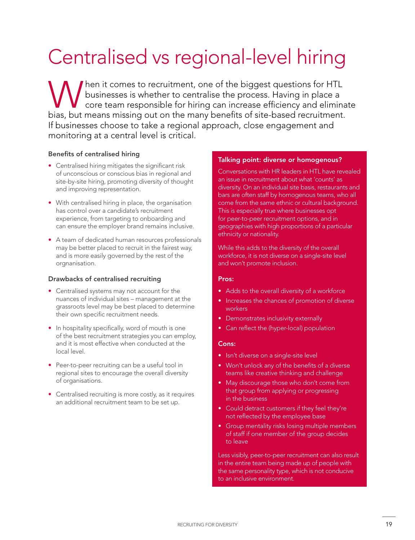## Centralised vs regional-level hiring

When it comes to recruitment, one of the biggest questions for HTL<br>businesses is whether to centralise the process. Having in place a<br>bigg but moons missing out on the many benefits of site based recruitment businesses is whether to centralise the process. Having in place a core team responsible for hiring can increase efficiency and eliminate bias, but means missing out on the many benefits of site-based recruitment. If businesses choose to take a regional approach, close engagement and monitoring at a central level is critical.

#### Benefits of centralised hiring

- Centralised hiring mitigates the significant risk of unconscious or conscious bias in regional and site-by-site hiring, promoting diversity of thought and improving representation.
- With centralised hiring in place, the organisation has control over a candidate's recruitment experience, from targeting to onboarding and can ensure the employer brand remains inclusive.
- A team of dedicated human resources professionals may be better placed to recruit in the fairest way, and is more easily governed by the rest of the orgnanisation.

#### Drawbacks of centralised recruiting

- Centralised systems may not account for the nuances of individual sites – management at the grassroots level may be best placed to determine their own specific recruitment needs.
- In hospitality specifically, word of mouth is one of the best recruitment strategies you can employ, and it is most effective when conducted at the local level.
- Peer-to-peer recruiting can be a useful tool in regional sites to encourage the overall diversity of organisations.
- Centralised recruiting is more costly, as it requires an additional recruitment team to be set up.

#### Talking point: diverse or homogenous?

Conversations with HR leaders in HTL have revealed an issue in recruitment about what 'counts' as diversity. On an individual site basis, restaurants and bars are often staff by homogenous teams, who all come from the same ethnic or cultural background. This is especially true where businesses opt for peer-to-peer recruitment options, and in geographies with high proportions of a particular ethnicity or nationality.

While this adds to the diversity of the overall workforce, it is not diverse on a single-site level and won't promote inclusion.

#### Pros:

- Adds to the overall diversity of a workforce
- Increases the chances of promotion of diverse workers
- Demonstrates inclusivity externally
- Can reflect the (hyper-local) population

#### Cons:

- Isn't diverse on a single-site level
- Won't unlock any of the benefits of a diverse teams like creative thinking and challenge
- May discourage those who don't come from that group from applying or progressing in the business
- Could detract customers if they feel they're not reflected by the employee base
- Group mentality risks losing multiple members of staff if one member of the group decides to leave

Less visibly, peer-to-peer recruitment can also result in the entire team being made up of people with the same personality type, which is not conducive to an inclusive environment.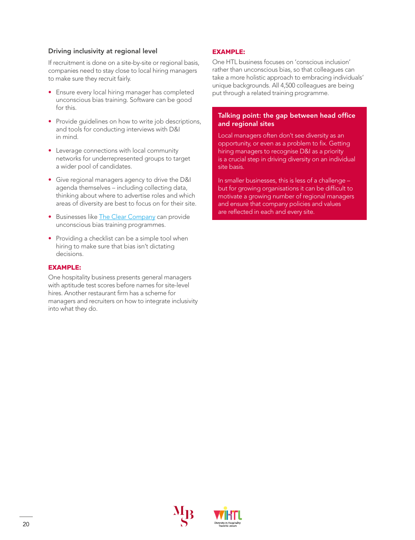#### Driving inclusivity at regional level

If recruitment is done on a site-by-site or regional basis, companies need to stay close to local hiring managers to make sure they recruit fairly.

- Ensure every local hiring manager has completed unconscious bias training. Software can be good for this.
- Provide quidelines on how to write job descriptions, and tools for conducting interviews with D&I in mind.
- Leverage connections with local community networks for underrepresented groups to target a wider pool of candidates.
- Give regional managers agency to drive the D&I agenda themselves – including collecting data, thinking about where to advertise roles and which areas of diversity are best to focus on for their site.
- Businesses like [The Clear Company](https://theclearcompany.co.uk/) can provide unconscious bias training programmes.
- Providing a checklist can be a simple tool when hiring to make sure that bias isn't dictating decisions.

#### **EXAMPLE:**

One hospitality business presents general managers with aptitude test scores before names for site-level hires. Another restaurant firm has a scheme for managers and recruiters on how to integrate inclusivity into what they do.

#### **EXAMPLE:**

One HTL business focuses on 'conscious inclusion' rather than unconscious bias, so that colleagues can take a more holistic approach to embracing individuals' unique backgrounds. All 4,500 colleagues are being put through a related training programme.

#### Talking point: the gap between head office and regional sites

Local managers often don't see diversity as an opportunity, or even as a problem to fix. Getting hiring managers to recognise D&I as a priority is a crucial step in driving diversity on an individual site basis.

In smaller businesses, this is less of a challenge – but for growing organisations it can be difficult to motivate a growing number of regional managers and ensure that company policies and values are reflected in each and every site.



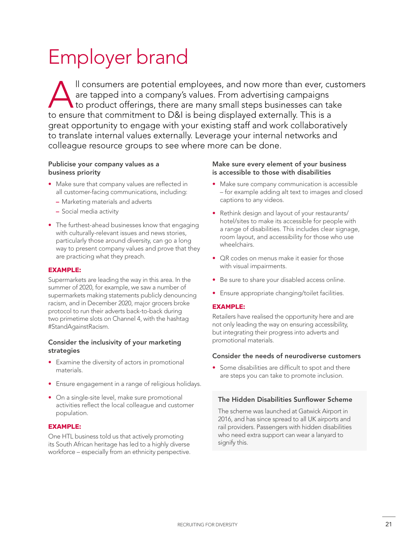## Employer brand

Il consumers are potential employees, and now more than ever, customers<br>are tapped into a company's values. From advertising campaigns<br>to product offerings, there are many small steps businesses can take<br>to opsure that com are tapped into a company's values. From advertising campaigns to product offerings, there are many small steps businesses can take to ensure that commitment to D&I is being displayed externally. This is a great opportunity to engage with your existing staff and work collaboratively to translate internal values externally. Leverage your internal networks and colleague resource groups to see where more can be done.

#### Publicise your company values as a business priority

- Make sure that company values are reflected in all customer-facing communications, including:
	- Marketing materials and adverts
	- Social media activity
- The furthest-ahead businesses know that engaging with culturally-relevant issues and news stories, particularly those around diversity, can go a long way to present company values and prove that they are practicing what they preach.

#### **EXAMPLE:**

Supermarkets are leading the way in this area. In the summer of 2020, for example, we saw a number of supermarkets making statements publicly denouncing racism, and in December 2020, major grocers broke protocol to run their adverts back-to-back during two primetime slots on Channel 4, with the hashtag #StandAgainstRacism.

#### Consider the inclusivity of your marketing strategies

- Examine the diversity of actors in promotional materials.
- Ensure engagement in a range of religious holidays.
- On a single-site level, make sure promotional activities reflect the local colleague and customer population.

#### **EXAMPLE:**

One HTL business told us that actively promoting its South African heritage has led to a highly diverse workforce – especially from an ethnicity perspective.

#### Make sure every element of your business is accessible to those with disabilities

- Make sure company communication is accessible – for example adding alt text to images and closed captions to any videos.
- Rethink design and layout of your restaurants/ hotel/sites to make its accessible for people with a range of disabilities. This includes clear signage, room layout, and accessibility for those who use wheelchairs.
- QR codes on menus make it easier for those with visual impairments.
- Be sure to share your disabled access online.
- Ensure appropriate changing/toilet facilities.

#### **EXAMPLE:**

Retailers have realised the opportunity here and are not only leading the way on ensuring accessibility, but integrating their progress into adverts and promotional materials.

#### Consider the needs of neurodiverse customers

• Some disabilities are difficult to spot and there are steps you can take to promote inclusion.

#### The Hidden Disabilities Sunflower Scheme

The scheme was launched at Gatwick Airport in 2016, and has since spread to all UK airports and rail providers. Passengers with hidden disabilities who need extra support can wear a lanyard to signify this.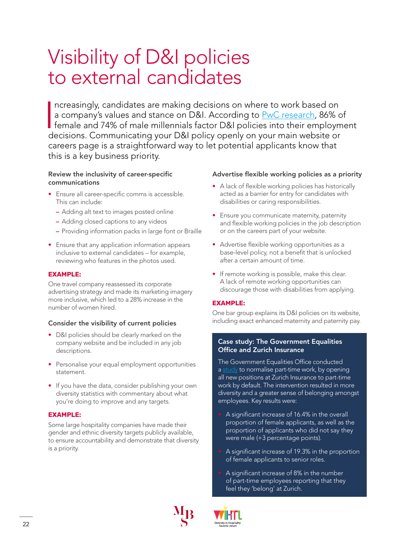### Visibility of D&I policies to external candidates

 $\begin{array}{c|c} \hline \hline \hline \end{array}$ ncreasingly, candidates are making decisions on where to work based on a company's values and stance on D&I. According to [PwC research](https://www.pwc.com/gx/en/about/diversity/internationalwomensday/the-female-millennial.html), 86% of female and 74% of male millennials factor D&I policies into their employment decisions. Communicating your D&I policy openly on your main website or careers page is a straightforward way to let potential applicants know that this is a key business priority.

#### Review the inclusivity of career-specific communications

- Ensure all career-specific comms is accessible. This can include:
	- Adding alt text to images posted online
	- Adding closed captions to any videos
	- Providing information packs in large font or Braille
- Ensure that any application information appears inclusive to external candidates – for example, reviewing who features in the photos used.

#### **EXAMPLE:**

One travel company reassessed its corporate advertising strategy and made its marketing imagery more inclusive, which led to a 28% increase in the number of women hired.

#### Consider the visibility of current policies

- D&I policies should be clearly marked on the company website and be included in any job descriptions.
- Personalise your equal employment opportunities statement.
- If you have the data, consider publishing your own diversity statistics with commentary about what you're doing to improve and any targets.

#### **EXAMPLE:**

Some large hospitality companies have made their gender and ethnic diversity targets publicly available, to ensure accountability and demonstrate that diversity is a priority.

#### Advertise flexible working policies as a priority

- A lack of flexible working policies has historically acted as a barrier for entry for candidates with disabilities or caring responsibilities.
- Ensure you communicate maternity, paternity and flexible working policies in the job description or on the careers part of your website.
- Advertise flexible working opportunities as a base-level policy, not a benefit that is unlocked after a certain amount of time.
- If remote working is possible, make this clear. A lack of remote working opportunities can discourage those with disabilities from applying.

#### **EXAMPLE:**

One bar group explains its D&I policies on its website, including exact enhanced maternity and paternity pay.

#### Case study: The Government Equalities Office and Zurich Insurance

The Government Equalities Office conducted a [study](https://www.gov.uk/government/publications/a-field-trial-with-zurich-insurance-to-advertise-all-jobs-as-part-time) to normalise part-time work, by opening all new positions at Zurich Insurance to part-time work by default. The intervention resulted in more diversity and a greater sense of belonging amongst employees. Key results were:

- A significant increase of 16.4% in the overall proportion of female applicants, as well as the proportion of applicants who did not say they were male (+3 percentage points).
- A significant increase of 19.3% in the proportion of female applicants to senior roles.
- A significant increase of 8% in the number of part-time employees reporting that they feel they 'belong' at Zurich.



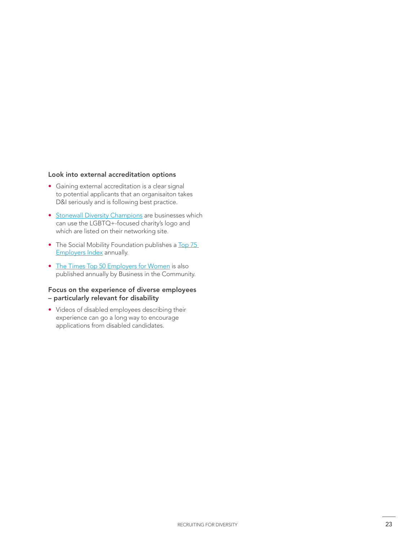#### Look into external accreditation options

- Gaining external accreditation is a clear signal to potential applicants that an organisaiton takes D&I seriously and is following best practice.
- [Stonewall Diversity Champions](https://www.stonewall.org.uk/diversity-champions-programme) are businesses which can use the LGBTQ+-focused charity's logo and which are listed on their networking site.
- The Social Mobility Foundation publishes a Top 75 [Employers Index](https://www.socialmobility.org.uk/index/) annually.
- [The Times Top 50 Employers for Women](https://www.bitc.org.uk/the-times-top-50-employers-for-women/) is also published annually by Business in the Community.

#### Focus on the experience of diverse employees – particularly relevant for disability

• Videos of disabled employees describing their experience can go a long way to encourage applications from disabled candidates.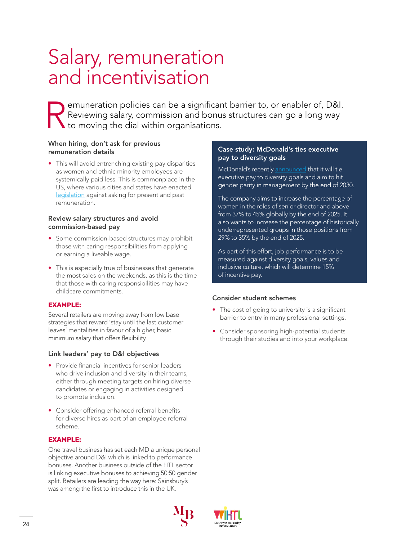### Salary, remuneration and incentivisation

Pemuneration policies can be a significant barrier to, or enabler of, D&I.<br>Reviewing salary, commission and bonus structures can go a long way<br>to moving the dial within organisations. Reviewing salary, commission and bonus structures can go a long way to moving the dial within organisations.

#### When hiring, don't ask for previous remuneration details

• This will avoid entrenching existing pay disparities as women and ethnic minority employees are systemically paid less. This is commonplace in the US, where various cities and states have enacted [legislation](https://www.thembsgroup.co.uk/internal/americas-got-talent-a-practical-solution-to-the-gender-pay-gap/) against asking for present and past remuneration.

#### Review salary structures and avoid commission-based pay

- Some commission-based structures may prohibit those with caring responsibilities from applying or earning a liveable wage.
- This is especially true of businesses that generate the most sales on the weekends, as this is the time that those with caring responsibilities may have childcare commitments.

#### **EXAMPLE:**

Several retailers are moving away from low base strategies that reward 'stay until the last customer leaves' mentalities in favour of a higher, basic minimum salary that offers flexibility.

#### Link leaders' pay to D&I objectives

- Provide financial incentives for senior leaders who drive inclusion and diversity in their teams, either through meeting targets on hiring diverse candidates or engaging in activities designed to promote inclusion.
- Consider offering enhanced referral benefits for diverse hires as part of an employee referral scheme.

#### **EXAMPLE:**

One travel business has set each MD a unique personal objective around D&I which is linked to performance bonuses. Another business outside of the HTL sector is linking executive bonuses to achieving 50:50 gender split. Retailers are leading the way here: Sainsbury's was among the first to introduce this in the UK.

#### Case study: McDonald's ties executive pay to diversity goals

McDonald's recently [announced](https://www.reuters.com/business/mcdonalds-ties-executive-bonuses-diversity-releases-workforce-data-2021-02-18/) that it will tie executive pay to diversity goals and aim to hit gender parity in management by the end of 2030.

The company aims to increase the percentage of women in the roles of senior director and above from 37% to 45% globally by the end of 2025. It also wants to increase the percentage of historically underrepresented groups in those positions from 29% to 35% by the end of 2025.

As part of this effort, job performance is to be measured against diversity goals, values and inclusive culture, which will determine 15% of incentive pay.

#### Consider student schemes

- The cost of going to university is a significant barrier to entry in many professional settings.
- Consider sponsoring high-potential students through their studies and into your workplace.



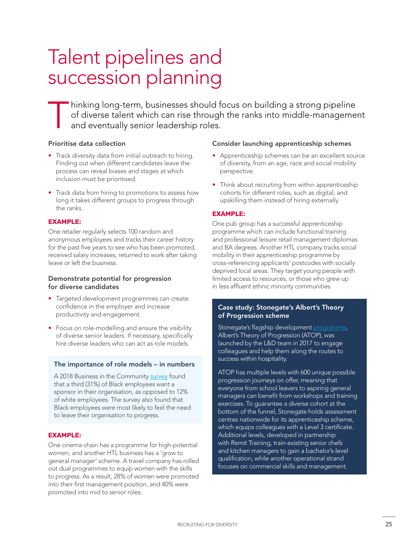## Talent pipelines and succession planning

Thinking long-term, businesses should focus on building a strong pipeline<br>of diverse talent which can rise through the ranks into middle-manageme<br>and eventually senior leadership roles. of diverse talent which can rise through the ranks into middle-management and eventually senior leadership roles.

#### Prioritise data collection

- Track diversity data from initial outreach to hiring. Finding out when different candidates leave the process can reveal biases and stages at which inclusion must be prioritised.
- Track data from hiring to promotions to assess how long it takes different groups to progress through the ranks.

#### **EXAMPLE:**

One retailer regularly selects 100 random and anonymous employees and tracks their career history for the past five years to see who has been promoted, received salary increases, returned to work after taking leave or left the business.

#### Demonstrate potential for progression for diverse candidates

- Targeted development programmes can create confidence in the employer and increase productivity and engagement.
- Focus on role-modelling and ensure the visibility of diverse senior leaders. If necessary, specifically hire diverse leaders who can act as role models.

#### The importance of role models – in numbers

A 2018 Business in the Community [survey](https://www.bitc.org.uk/report/race-at-work-2018-the-scorecard-report/) found that a third (31%) of Black employees want a sponsor in their organisation, as opposed to 12% of white employees. The survey also found that Black employees were most likely to feel the need to leave their organisation to progress.

#### **EXAMPLE:**

One cinema chain has a programme for high-potential women, and another HTL business has a 'grow to general manager' scheme. A travel company has rolled out dual programmes to equip women with the skills to progress. As a result, 28% of women were promoted into their first management position, and 40% were promoted into mid to senior roles.

#### Consider launching apprenticeship schemes

- Apprenticeship schemes can be an excellent source of diversity, from an age, race and social mobility perspective.
- Think about recruiting from within apprenticeship cohorts for different roles, such as digital, and upskilling them instead of hiring externally.

#### **EXAMPLE:**

One pub group has a successful apprenticeship programme which can include functional training and professional leisure retail management diplomas and BA degrees. Another HTL company tracks social mobility in their apprenticeship programme by cross-referencing applicants' postcodes with socially deprived local areas. They target young people with limited access to resources, or those who grew up in less affluent ethnic minority communities.

#### Case study: Stonegate's Albert's Theory of Progression scheme

Stonegate's flagship development [programme](https://www.stonegategroup.co.uk/press/albert-comes-out-of-lockdown/), Albert's Theory of Progression (ATOP), was launched by the L&D team in 2017 to engage colleagues and help them along the routes to success within hospitality.

ATOP has multiple levels with 600 unique possible progression journeys on offer, meaning that everyone from school leavers to aspiring general managers can benefit from workshops and training exercises. To guarantee a diverse cohort at the bottom of the funnel, Stonegate holds assessment centres nationwide for its apprenticeship scheme, which equips colleagues with a Level 3 certificate. Additional levels, developed in partnership with Remit Training, train existing senior chefs and kitchen managers to gain a bachelor's-level qualification, while another operational strand focuses on commercial skills and management.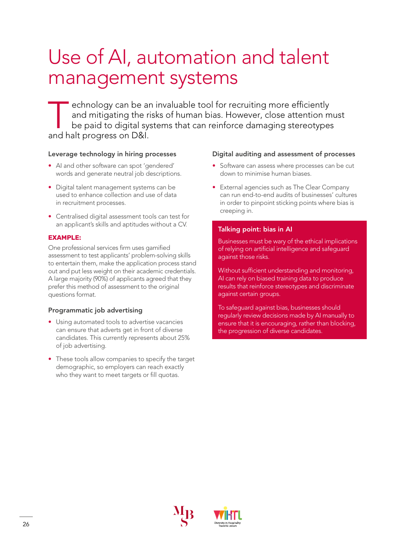## Use of AI, automation and talent management systems

echnology can be an invaluable tool for recruiting more efficiently<br>and mitigating the risks of human bias. However, close attention m<br>be paid to digital systems that can reinforce damaging stereotype:<br>and halt progress on and mitigating the risks of human bias. However, close attention must be paid to digital systems that can reinforce damaging stereotypes and halt progress on D&I.

#### Leverage technology in hiring processes

- AI and other software can spot 'gendered' words and generate neutral job descriptions.
- Digital talent management systems can be used to enhance collection and use of data in recruitment processes.
- Centralised digital assessment tools can test for an applicant's skills and aptitudes without a CV.

#### **EXAMPLE:**

One professional services firm uses gamified assessment to test applicants' problem-solving skills to entertain them, make the application process stand out and put less weight on their academic credentials. A large majority (90%) of applicants agreed that they prefer this method of assessment to the original questions format.

#### Programmatic job advertising

- Using automated tools to advertise vacancies can ensure that adverts get in front of diverse candidates. This currently represents about 25% of job advertising.
- These tools allow companies to specify the target demographic, so employers can reach exactly who they want to meet targets or fill quotas.

#### Digital auditing and assessment of processes

- Software can assess where processes can be cut down to minimise human biases.
- External agencies such as The Clear Company can run end-to-end audits of businesses' cultures in order to pinpoint sticking points where bias is creeping in.

#### Talking point: bias in AI

Businesses must be wary of the ethical implications of relying on artificial intelligence and safeguard against those risks.

Without sufficient understanding and monitoring, AI can rely on biased training data to produce results that reinforce stereotypes and discriminate against certain groups.

To safeguard against bias, businesses should regularly review decisions made by AI manually to ensure that it is encouraging, rather than blocking, the progression of diverse candidates.



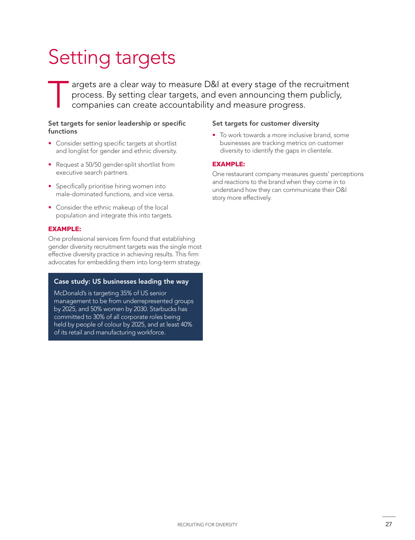## Setting targets

Targets are a clear way to measure D&I at every stage of the recruitment<br>process. By setting clear targets, and even announcing them publicly,<br>companies can create accountability and measure progress. process. By setting clear targets, and even announcing them publicly, companies can create accountability and measure progress.

#### Set targets for senior leadership or specific functions

- Consider setting specific targets at shortlist and longlist for gender and ethnic diversity.
- Request a 50/50 gender-split shortlist from executive search partners.
- Specifically prioritise hiring women into male-dominated functions, and vice versa.
- Consider the ethnic makeup of the local population and integrate this into targets.

#### **EXAMPLE:**

One professional services firm found that establishing gender diversity recruitment targets was the single most effective diversity practice in achieving results. This firm advocates for embedding them into long-term strategy.

#### Case study: US businesses leading the way

McDonald's is targeting 35% of US senior management to be from underrepresented groups by 2025, and 50% women by 2030. Starbucks has committed to 30% of all corporate roles being held by people of colour by 2025, and at least 40% of its retail and manufacturing workforce.

#### Set targets for customer diversity

• To work towards a more inclusive brand, some businesses are tracking metrics on customer diversity to identify the gaps in clientele.

#### **EXAMPLE:**

One restaurant company measures guests' perceptions and reactions to the brand when they come in to understand how they can communicate their D&I story more effectively.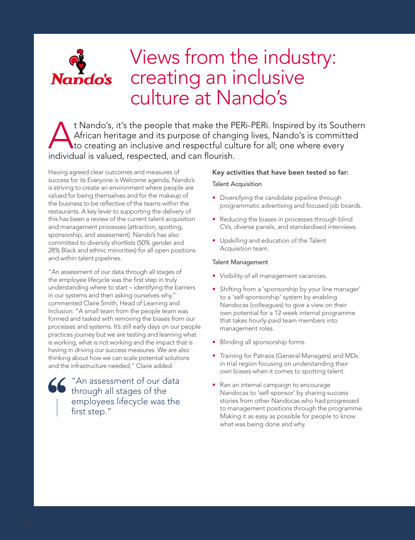

### Views from the industry: creating an inclusive culture at Nando's

t Nando's, it's the people that make the PERi-PERi. Inspired by its Southern<br>African heritage and its purpose of changing lives, Nando's is committed<br>to creating an inclusive and respectful culture for all; one where every African heritage and its purpose of changing lives, Nando's is committed to creating an inclusive and respectful culture for all; one where every individual is valued, respected, and can flourish.

Having agreed clear outcomes and measures of success for its Everyone is Welcome agenda, Nando's is striving to create an environment where people are valued for being themselves and for the makeup of the business to be reflective of the teams within the restaurants. A key lever to supporting the delivery of this has been a review of the current talent acquisition and management processes (attraction, spotting, sponsorship, and assessment). Nando's has also committed to diversity shortlists (50% gender and 28% Black and ethnic minorities) for all open positions and within talent pipelines.

"An assessment of our data through all stages of the employee lifecycle was the first step in truly understanding where to start – identifying the barriers in our systems and then asking ourselves why," commented Claire Smith, Head of Learning and Inclusion. "A small team from the people team was formed and tasked with removing the biases from our processes and systems. It's still early days on our people practices journey but we are testing and learning what is working, what is not working and the impact that is having in driving our success measures. We are also thinking about how we can scale potential solutions and the infrastructure needed," Claire added.

"An assessment of our data through all stages of the employees lifecycle was the first step."

#### Key activities that have been tested so far:

#### Talent Acquisition

- Diversifying the candidate pipeline through programmatic advertising and focused job boards.
- Reducing the biases in processes through blind CVs, diverse panels, and standardised interviews.
- Upskilling and education of the Talent Acquisition team.

#### Talent Management

- Visibility of all management vacancies.
- Shifting from a 'sponsorship by your line manager' to a 'self-sponsorship' system by enabling Nandocas (colleagues) to give a view on their own potential for a 12-week internal programme that takes hourly-paid team members into management roles.
- Blinding all sponsorship forms.
- Training for Patraos (General Managers) and MDs in trial region focusing on understanding their own biases when it comes to spotting talent.
- Ran an internal campaign to encourage Nandocas to 'self-sponsor' by sharing success stories from other Nandocas who had progressed to management positions through the programme. Making it as easy as possible for people to know what was being done and why.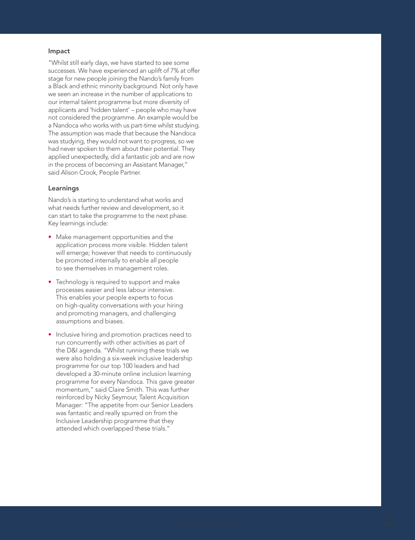#### Impact

"Whilst still early days, we have started to see some successes. We have experienced an uplift of 7% at offer stage for new people joining the Nando's family from a Black and ethnic minority background. Not only have we seen an increase in the number of applications to our internal talent programme but more diversity of applicants and 'hidden talent' – people who may have not considered the programme. An example would be a Nandoca who works with us part-time whilst studying. The assumption was made that because the Nandoca was studying, they would not want to progress, so we had never spoken to them about their potential. They applied unexpectedly, did a fantastic job and are now in the process of becoming an Assistant Manager," said Alison Crook, People Partner.

#### Learnings

Nando's is starting to understand what works and what needs further review and development, so it can start to take the programme to the next phase. Key learnings include:

- Make management opportunities and the application process more visible. Hidden talent will emerge; however that needs to continuously be promoted internally to enable all people to see themselves in management roles.
- Technology is required to support and make processes easier and less labour intensive. This enables your people experts to focus on high -quality conversations with your hiring and promoting managers, and challenging assumptions and biases.
- Inclusive hiring and promotion practices need to run concurrently with other activities as part of the D&I agenda. "Whilst running these trials we were also holding a six-week inclusive leadership programme for our top 100 leaders and had developed a 30-minute online inclusion learning programme for every Nandoca. This gave greater momentum," said Claire Smith. This was further reinforced by Nicky Seymour, Talent Acquisition Manager: "The appetite from our Senior Leaders was fantastic and really spurred on from the Inclusive Leadership programme that they attended which overlapped these trials."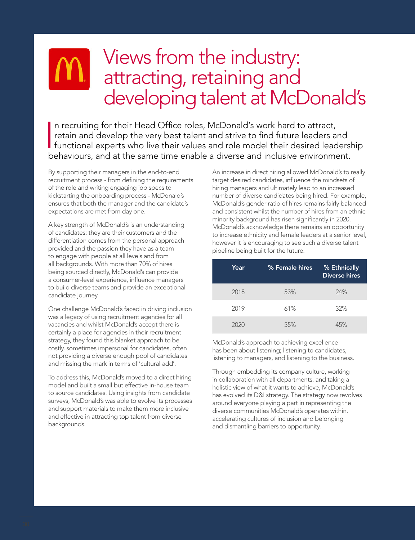### Views from the industry: attracting, retaining and developing talent at McDonald's

 $\overline{\phantom{a}}$ n recruiting for their Head Office roles, McDonald's work hard to attract, retain and develop the very best talent and strive to find future leaders and functional experts who live their values and role model their desired leadership behaviours, and at the same time enable a diverse and inclusive environment.

By supporting their managers in the end-to-end recruitment process - from defining the requirements of the role and writing engaging job specs to kickstarting the onboarding process - McDonald's ensures that both the manager and the candidate's expectations are met from day one.

A key strength of McDonald's is an understanding of candidates: they are their customers and the differentiation comes from the personal approach provided and the passion they have as a team to engage with people at all levels and from all backgrounds. With more than 70% of hires being sourced directly, McDonald's can provide a consumer-level experience, influence managers to build diverse teams and provide an exceptional candidate journey.

One challenge McDonald's faced in driving inclusion was a legacy of using recruitment agencies for all vacancies and whilst McDonald's accept there is certainly a place for agencies in their recruitment strategy, they found this blanket approach to be costly, sometimes impersonal for candidates, often not providing a diverse enough pool of candidates and missing the mark in terms of 'cultural add'.

To address this, McDonald's moved to a direct hiring model and built a small but effective in-house team to source candidates. Using insights from candidate surveys, McDonald's was able to evolve its processes and support materials to make them more inclusive and effective in attracting top talent from diverse backgrounds.

An increase in direct hiring allowed McDonald's to really target desired candidates, influence the mindsets of hiring managers and ultimately lead to an increased number of diverse candidates being hired. For example, McDonald's gender ratio of hires remains fairly balanced and consistent whilst the number of hires from an ethnic minority background has risen significantly in 2020. McDonald's acknowledge there remains an opportunity to increase ethnicity and female leaders at a senior level, however it is encouraging to see such a diverse talent pipeline being built for the future.

| Year | % Female hires | % Ethnically<br><b>Diverse hires</b> |
|------|----------------|--------------------------------------|
| 2018 | 53%            | 24%                                  |
| 2019 | 61%            | 32%                                  |
| 2020 | 55%            | 45%                                  |

McDonald's approach to achieving excellence has been about listening; listening to candidates, listening to managers, and listening to the business.

Through embedding its company culture, working in collaboration with all departments, and taking a holistic view of what it wants to achieve, McDonald's has evolved its D&I strategy. The strategy now revolves around everyone playing a part in representing the diverse communities McDonald's operates within, accelerating cultures of inclusion and belonging and dismantling barriers to opportunity.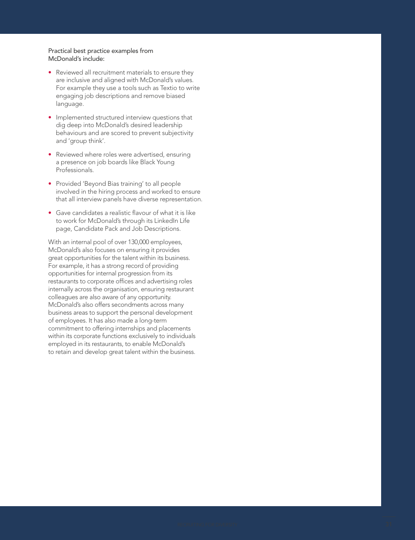#### Practical best practice examples from McDonald's include:

- Reviewed all recruitment materials to ensure they are inclusive and aligned with McDonald's values. For example they use a tools such as Textio to write engaging job descriptions and remove biased language.
- Implemented structured interview questions that dig deep into McDonald's desired leadership behaviours and are scored to prevent subjectivity and 'group think'.
- Reviewed where roles were advertised, ensuring a presence on job boards like Black Young Professionals.
- Provided 'Beyond Bias training' to all people involved in the hiring process and worked to ensure that all interview panels have diverse representation.
- Gave candidates a realistic flavour of what it is like to work for McDonald's through its LinkedIn Life page, Candidate Pack and Job Descriptions.

With an internal pool of over 130,000 employees, McDonald's also focuses on ensuring it provides great opportunities for the talent within its business. For example, it has a strong record of providing opportunities for internal progression from its restaurants to corporate offices and advertising roles internally across the organisation, ensuring restaurant colleagues are also aware of any opportunity. McDonald's also offers secondments across many business areas to support the personal development of employees. It has also made a long-term commitment to offering internships and placements within its corporate functions exclusively to individuals employed in its restaurants, to enable McDonald's to retain and develop great talent within the business.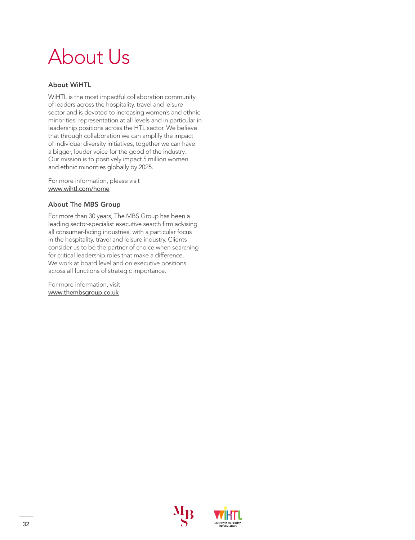## About Us

#### About WiHTL

WiHTL is the most impactful collaboration community of leaders across the hospitality, travel and leisure sector and is devoted to increasing women's and ethnic minorities' representation at all levels and in particular in leadership positions across the HTL sector. We believe that through collaboration we can amplify the impact of individual diversity initiatives, together we can have a bigger, louder voice for the good of the industry. Our mission is to positively impact 5 million women and ethnic minorities globally by 2025.

For more information, please visit [www.wihtl.com/home](https://www.wihtl.com/)

#### About The MBS Group

For more than 30 years, The MBS Group has been a leading sector-specialist executive search firm advising all consumer-facing industries, with a particular focus in the hospitality, travel and leisure industry. Clients consider us to be the partner of choice when searching for critical leadership roles that make a difference. We work at board level and on executive positions across all functions of strategic importance.

For more information, visit [www.thembsgroup.co.uk](https://www.thembsgroup.co.uk/)